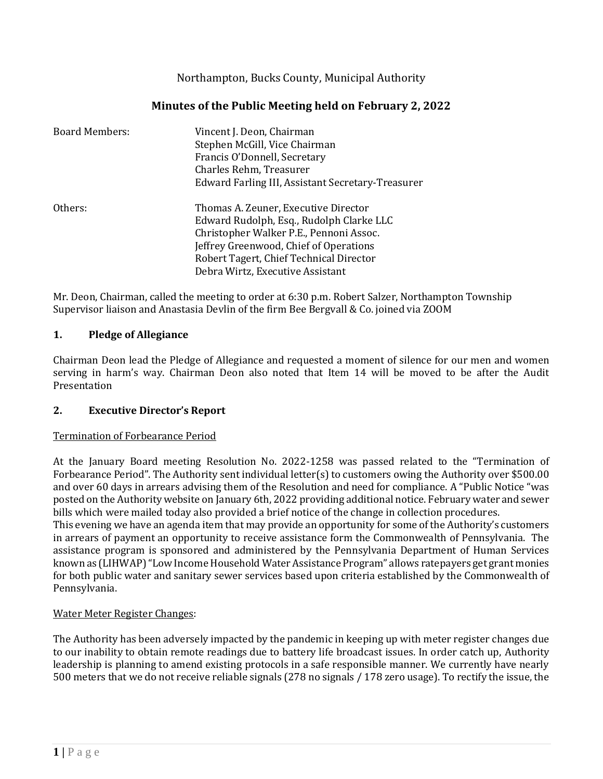Northampton, Bucks County, Municipal Authority

# **Minutes of the Public Meeting held on February 2, 2022**

| <b>Board Members:</b> | Vincent J. Deon, Chairman<br>Stephen McGill, Vice Chairman<br>Francis O'Donnell, Secretary<br>Charles Rehm, Treasurer<br>Edward Farling III, Assistant Secretary-Treasurer                                                                           |
|-----------------------|------------------------------------------------------------------------------------------------------------------------------------------------------------------------------------------------------------------------------------------------------|
| Others:               | Thomas A. Zeuner, Executive Director<br>Edward Rudolph, Esq., Rudolph Clarke LLC<br>Christopher Walker P.E., Pennoni Assoc.<br>Jeffrey Greenwood, Chief of Operations<br>Robert Tagert, Chief Technical Director<br>Debra Wirtz, Executive Assistant |

Mr. Deon, Chairman, called the meeting to order at 6:30 p.m. Robert Salzer, Northampton Township Supervisor liaison and Anastasia Devlin of the firm Bee Bergvall & Co. joined via ZOOM

### **1. Pledge of Allegiance**

Chairman Deon lead the Pledge of Allegiance and requested a moment of silence for our men and women serving in harm's way. Chairman Deon also noted that Item 14 will be moved to be after the Audit Presentation

### **2. Executive Director's Report**

#### Termination of Forbearance Period

At the January Board meeting Resolution No. 2022-1258 was passed related to the "Termination of Forbearance Period". The Authority sent individual letter(s) to customers owing the Authority over \$500.00 and over 60 days in arrears advising them of the Resolution and need for compliance. A "Public Notice "was posted on the Authority website on January 6th, 2022 providing additional notice. February water and sewer bills which were mailed today also provided a brief notice of the change in collection procedures.

This evening we have an agenda item that may provide an opportunity for some of the Authority's customers in arrears of payment an opportunity to receive assistance form the Commonwealth of Pennsylvania. The assistance program is sponsored and administered by the Pennsylvania Department of Human Services known as (LIHWAP) "Low Income Household Water Assistance Program" allows ratepayers get grant monies for both public water and sanitary sewer services based upon criteria established by the Commonwealth of Pennsylvania.

#### Water Meter Register Changes:

The Authority has been adversely impacted by the pandemic in keeping up with meter register changes due to our inability to obtain remote readings due to battery life broadcast issues. In order catch up, Authority leadership is planning to amend existing protocols in a safe responsible manner. We currently have nearly 500 meters that we do not receive reliable signals (278 no signals / 178 zero usage). To rectify the issue, the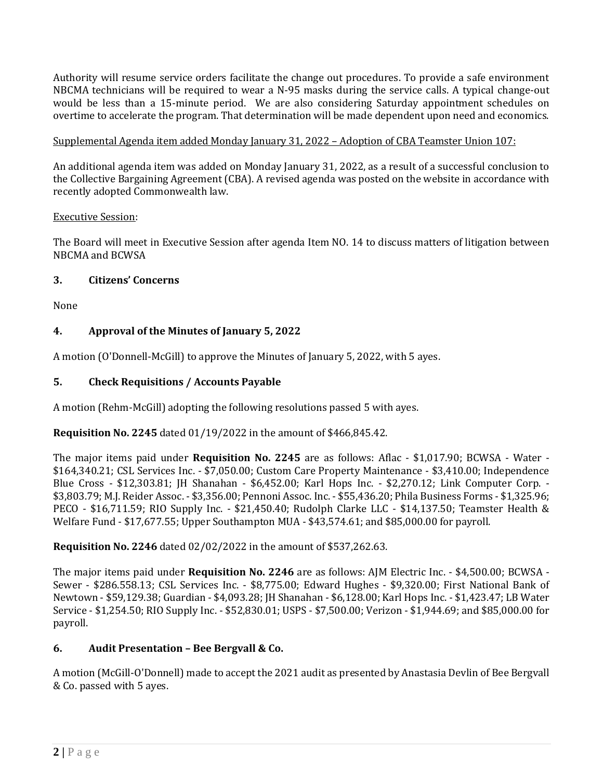Authority will resume service orders facilitate the change out procedures. To provide a safe environment NBCMA technicians will be required to wear a N-95 masks during the service calls. A typical change-out would be less than a 15-minute period. We are also considering Saturday appointment schedules on overtime to accelerate the program. That determination will be made dependent upon need and economics.

# Supplemental Agenda item added Monday January 31, 2022 – Adoption of CBA Teamster Union 107:

An additional agenda item was added on Monday January 31, 2022, as a result of a successful conclusion to the Collective Bargaining Agreement (CBA). A revised agenda was posted on the website in accordance with recently adopted Commonwealth law.

### Executive Session:

The Board will meet in Executive Session after agenda Item NO. 14 to discuss matters of litigation between NBCMA and BCWSA

### **3. Citizens' Concerns**

None

# **4. Approval of the Minutes of January 5, 2022**

A motion (O'Donnell-McGill) to approve the Minutes of January 5, 2022, with 5 ayes.

# **5. Check Requisitions / Accounts Payable**

A motion (Rehm-McGill) adopting the following resolutions passed 5 with ayes.

### **Requisition No. 2245** dated 01/19/2022 in the amount of \$466,845.42.

The major items paid under **Requisition No. 2245** are as follows: Aflac - \$1,017.90; BCWSA - Water - \$164,340.21; CSL Services Inc. - \$7,050.00; Custom Care Property Maintenance - \$3,410.00; Independence Blue Cross - \$12,303.81; JH Shanahan - \$6,452.00; Karl Hops Inc. - \$2,270.12; Link Computer Corp. - \$3,803.79; M.J. Reider Assoc. - \$3,356.00; Pennoni Assoc. Inc. - \$55,436.20; Phila Business Forms - \$1,325.96; PECO - \$16,711.59; RIO Supply Inc. - \$21,450.40; Rudolph Clarke LLC - \$14,137.50; Teamster Health & Welfare Fund - \$17,677.55; Upper Southampton MUA - \$43,574.61; and \$85,000.00 for payroll.

**Requisition No. 2246** dated 02/02/2022 in the amount of \$537,262.63.

The major items paid under **Requisition No. 2246** are as follows: AJM Electric Inc. - \$4,500.00; BCWSA - Sewer - \$286.558.13; CSL Services Inc. - \$8,775.00; Edward Hughes - \$9,320.00; First National Bank of Newtown - \$59,129.38; Guardian - \$4,093.28; JH Shanahan - \$6,128.00; Karl Hops Inc. - \$1,423.47; LB Water Service - \$1,254.50; RIO Supply Inc. - \$52,830.01; USPS - \$7,500.00; Verizon - \$1,944.69; and \$85,000.00 for payroll.

# **6. Audit Presentation – Bee Bergvall & Co.**

A motion (McGill-O'Donnell) made to accept the 2021 audit as presented by Anastasia Devlin of Bee Bergvall & Co. passed with 5 ayes.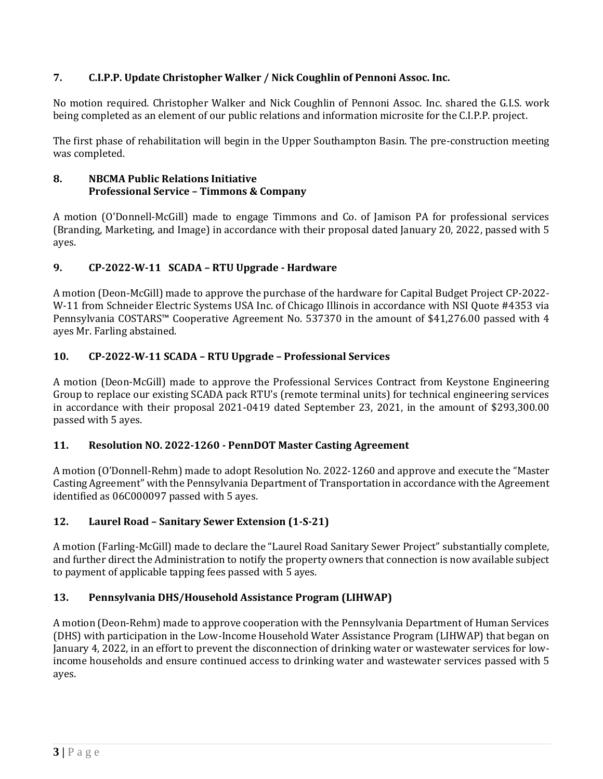# **7. C.I.P.P. Update Christopher Walker / Nick Coughlin of Pennoni Assoc. Inc.**

No motion required. Christopher Walker and Nick Coughlin of Pennoni Assoc. Inc. shared the G.I.S. work being completed as an element of our public relations and information microsite for the C.I.P.P. project.

The first phase of rehabilitation will begin in the Upper Southampton Basin. The pre-construction meeting was completed.

### **8. NBCMA Public Relations Initiative Professional Service – Timmons & Company**

A motion (O'Donnell-McGill) made to engage Timmons and Co. of Jamison PA for professional services (Branding, Marketing, and Image) in accordance with their proposal dated January 20, 2022, passed with 5 ayes.

# **9. CP-2022-W-11 SCADA – RTU Upgrade - Hardware**

A motion (Deon-McGill) made to approve the purchase of the hardware for Capital Budget Project CP-2022- W-11 from Schneider Electric Systems USA Inc. of Chicago Illinois in accordance with NSI Quote #4353 via Pennsylvania COSTARS™ Cooperative Agreement No. 537370 in the amount of \$41,276.00 passed with 4 ayes Mr. Farling abstained.

# **10. CP-2022-W-11 SCADA – RTU Upgrade – Professional Services**

A motion (Deon-McGill) made to approve the Professional Services Contract from Keystone Engineering Group to replace our existing SCADA pack RTU's (remote terminal units) for technical engineering services in accordance with their proposal 2021-0419 dated September 23, 2021, in the amount of \$293,300.00 passed with 5 ayes.

### **11. Resolution NO. 2022-1260 - PennDOT Master Casting Agreement**

A motion (O'Donnell-Rehm) made to adopt Resolution No. 2022-1260 and approve and execute the "Master Casting Agreement" with the Pennsylvania Department of Transportation in accordance with the Agreement identified as 06C000097 passed with 5 ayes.

### **12. Laurel Road – Sanitary Sewer Extension (1-S-21)**

A motion (Farling-McGill) made to declare the "Laurel Road Sanitary Sewer Project" substantially complete, and further direct the Administration to notify the property owners that connection is now available subject to payment of applicable tapping fees passed with 5 ayes.

# **13. Pennsylvania DHS/Household Assistance Program (LIHWAP)**

A motion (Deon-Rehm) made to approve cooperation with the Pennsylvania Department of Human Services (DHS) with participation in the Low-Income Household Water Assistance Program (LIHWAP) that began on January 4, 2022, in an effort to prevent the disconnection of drinking water or wastewater services for lowincome households and ensure continued access to drinking water and wastewater services passed with 5 ayes.